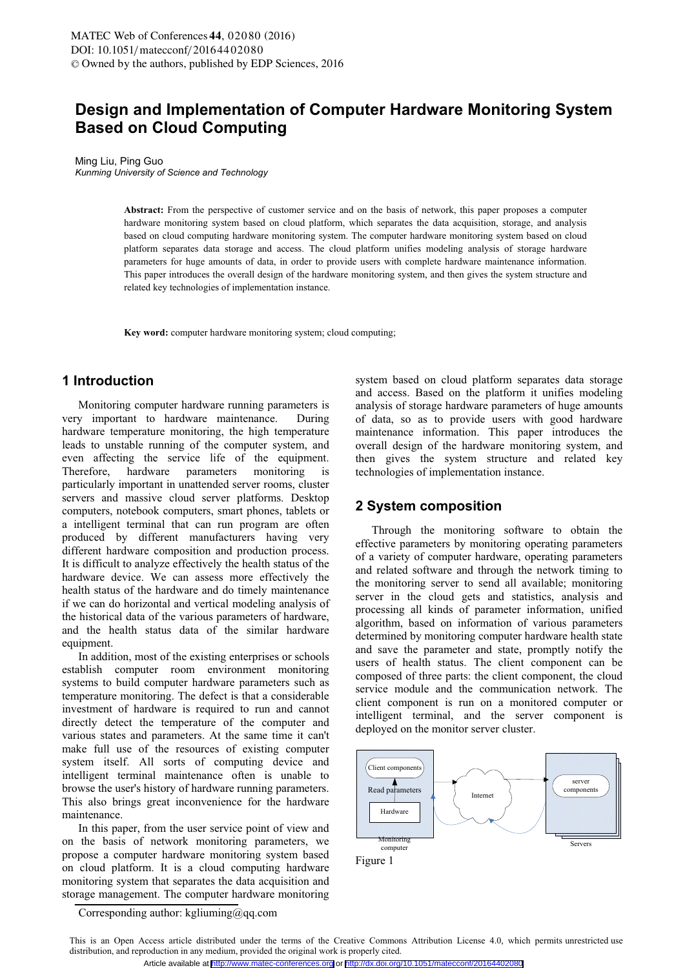# **Design and Implementation of Computer Hardware Monitoring System Based on Cloud Computing**

Ming Liu, Ping Guo *Kunming University of Science and Technology*

**Abstract:** From the perspective of customer service and on the basis of network, this paper proposes a computer hardware monitoring system based on cloud platform, which separates the data acquisition, storage, and analysis based on cloud computing hardware monitoring system. The computer hardware monitoring system based on cloud platform separates data storage and access. The cloud platform unifies modeling analysis of storage hardware parameters for huge amounts of data, in order to provide users with complete hardware maintenance information. This paper introduces the overall design of the hardware monitoring system, and then gives the system structure and related key technologies of implementation instance.

**Key word:** computer hardware monitoring system; cloud computing;

# **1 Introduction**

Monitoring computer hardware running parameters is very important to hardware maintenance. During hardware temperature monitoring, the high temperature leads to unstable running of the computer system, and even affecting the service life of the equipment. Therefore, hardware parameters monitoring is particularly important in unattended server rooms, cluster servers and massive cloud server platforms. Desktop computers, notebook computers, smart phones, tablets or a intelligent terminal that can run program are often produced by different manufacturers having very different hardware composition and production process. It is difficult to analyze effectively the health status of the hardware device. We can assess more effectively the health status of the hardware and do timely maintenance if we can do horizontal and vertical modeling analysis of the historical data of the various parameters of hardware, and the health status data of the similar hardware equipment.

In addition, most of the existing enterprises or schools establish computer room environment monitoring systems to build computer hardware parameters such as temperature monitoring. The defect is that a considerable investment of hardware is required to run and cannot directly detect the temperature of the computer and various states and parameters. At the same time it can't make full use of the resources of existing computer system itself. All sorts of computing device and intelligent terminal maintenance often is unable to browse the user's history of hardware running parameters. This also brings great inconvenience for the hardware maintenance.

In this paper, from the user service point of view and on the basis of network monitoring parameters, we propose a computer hardware monitoring system based on cloud platform. It is a cloud computing hardware monitoring system that separates the data acquisition and storage management. The computer hardware monitoring

system based on cloud platform separates data storage and access. Based on the platform it unifies modeling analysis of storage hardware parameters of huge amounts of data, so as to provide users with good hardware maintenance information. This paper introduces the overall design of the hardware monitoring system, and then gives the system structure and related key technologies of implementation instance.

#### **2 System composition**

Through the monitoring software to obtain the effective parameters by monitoring operating parameters of a variety of computer hardware, operating parameters and related software and through the network timing to the monitoring server to send all available; monitoring server in the cloud gets and statistics, analysis and processing all kinds of parameter information, unified algorithm, based on information of various parameters determined by monitoring computer hardware health state and save the parameter and state, promptly notify the users of health status. The client component can be composed of three parts: the client component, the cloud service module and the communication network. The client component is run on a monitored computer or intelligent terminal, and the server component is deployed on the monitor server cluster.



Corresponding author: kgliuming@qq.com

This is an Open Access article distributed under the terms of the Creative Commons Attribution License 4.0, which permits unrestricted use distribution, and reproduction in any medium, provided the original work is properly cited.

Article available at <http://www.matec-conferences.org> or <http://dx.doi.org/10.1051/matecconf/20164402080>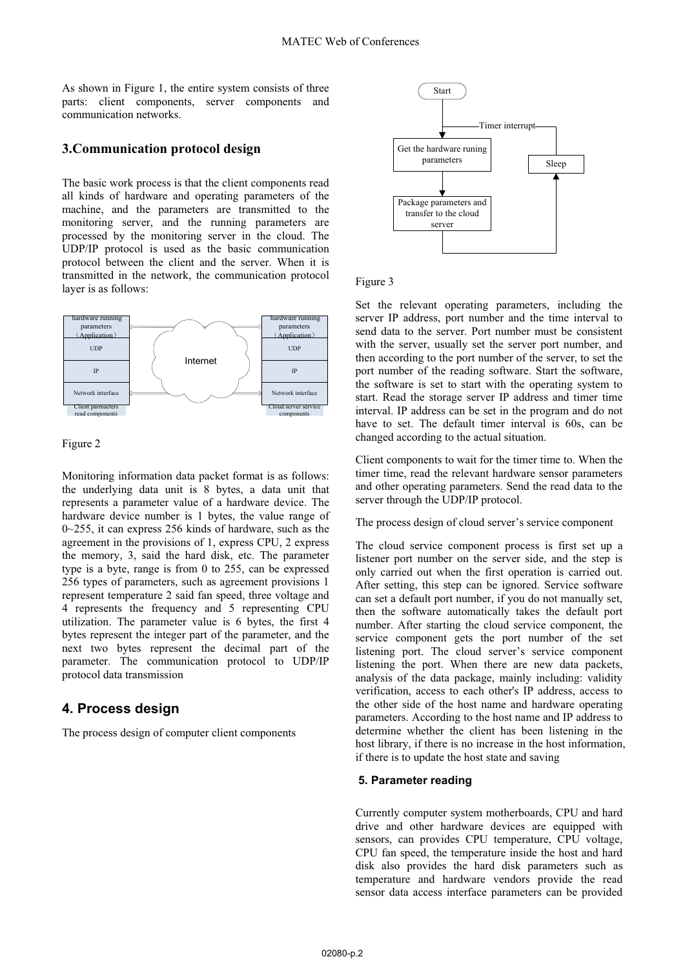As shown in Figure 1, the entire system consists of three parts: client components, server components and communication networks.

# **3.Communication protocol design**

The basic work process is that the client components read all kinds of hardware and operating parameters of the machine, and the parameters are transmitted to the monitoring server, and the running parameters are processed by the monitoring server in the cloud. The UDP/IP protocol is used as the basic communication protocol between the client and the server. When it is transmitted in the network, the communication protocol layer is as follows:



Figure 2

Monitoring information data packet format is as follows: the underlying data unit is 8 bytes, a data unit that represents a parameter value of a hardware device. The hardware device number is 1 bytes, the value range of 0~255, it can express 256 kinds of hardware, such as the agreement in the provisions of 1, express CPU, 2 express the memory, 3, said the hard disk, etc. The parameter type is a byte, range is from 0 to 255, can be expressed 256 types of parameters, such as agreement provisions 1 represent temperature 2 said fan speed, three voltage and 4 represents the frequency and 5 representing CPU utilization. The parameter value is 6 bytes, the first 4 bytes represent the integer part of the parameter, and the next two bytes represent the decimal part of the parameter. The communication protocol to UDP/IP protocol data transmission

# **4. Process design**

The process design of computer client components



#### Figure 3

Set the relevant operating parameters, including the server IP address, port number and the time interval to send data to the server. Port number must be consistent with the server, usually set the server port number, and then according to the port number of the server, to set the port number of the reading software. Start the software, the software is set to start with the operating system to start. Read the storage server IP address and timer time interval. IP address can be set in the program and do not have to set. The default timer interval is 60s, can be changed according to the actual situation.

Client components to wait for the timer time to. When the timer time, read the relevant hardware sensor parameters and other operating parameters. Send the read data to the server through the UDP/IP protocol.

The process design of cloud server's service component

The cloud service component process is first set up a listener port number on the server side, and the step is only carried out when the first operation is carried out. After setting, this step can be ignored. Service software can set a default port number, if you do not manually set, then the software automatically takes the default port number. After starting the cloud service component, the service component gets the port number of the set listening port. The cloud server's service component listening the port. When there are new data packets, analysis of the data package, mainly including: validity verification, access to each other's IP address, access to the other side of the host name and hardware operating parameters. According to the host name and IP address to determine whether the client has been listening in the host library, if there is no increase in the host information, if there is to update the host state and saving

#### **5. Parameter reading**

Currently computer system motherboards, CPU and hard drive and other hardware devices are equipped with sensors, can provides CPU temperature, CPU voltage, CPU fan speed, the temperature inside the host and hard disk also provides the hard disk parameters such as temperature and hardware vendors provide the read sensor data access interface parameters can be provided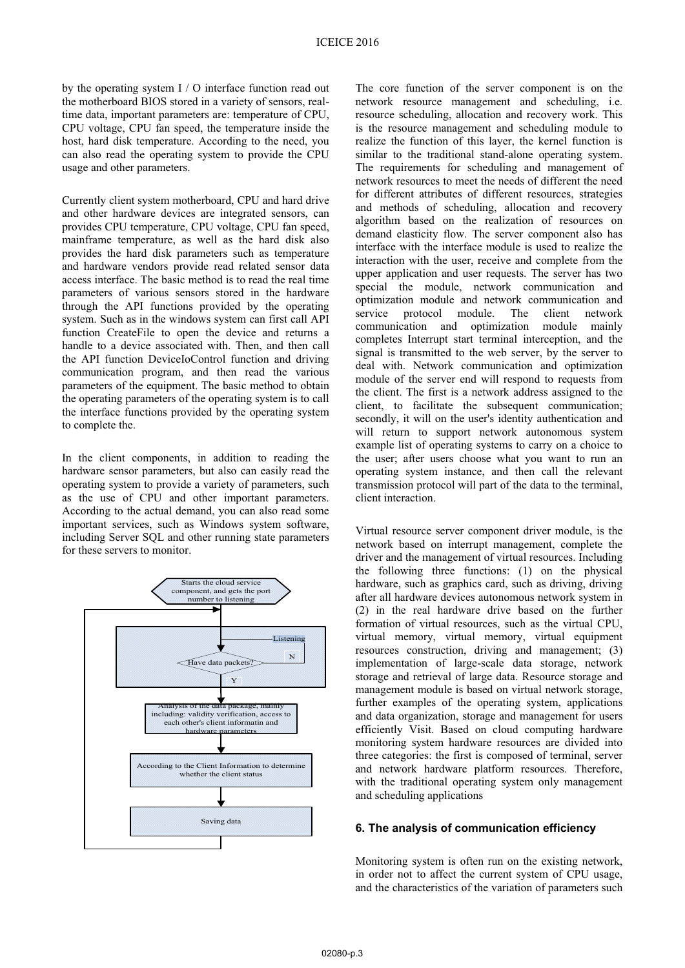by the operating system I / O interface function read out the motherboard BIOS stored in a variety of sensors, realtime data, important parameters are: temperature of CPU, CPU voltage, CPU fan speed, the temperature inside the host, hard disk temperature. According to the need, you can also read the operating system to provide the CPU usage and other parameters.

Currently client system motherboard, CPU and hard drive and other hardware devices are integrated sensors, can provides CPU temperature, CPU voltage, CPU fan speed, mainframe temperature, as well as the hard disk also provides the hard disk parameters such as temperature and hardware vendors provide read related sensor data access interface. The basic method is to read the real time parameters of various sensors stored in the hardware through the API functions provided by the operating system. Such as in the windows system can first call API function CreateFile to open the device and returns a handle to a device associated with. Then, and then call the API function DeviceIoControl function and driving communication program, and then read the various parameters of the equipment. The basic method to obtain the operating parameters of the operating system is to call the interface functions provided by the operating system to complete the.

In the client components, in addition to reading the hardware sensor parameters, but also can easily read the operating system to provide a variety of parameters, such as the use of CPU and other important parameters. According to the actual demand, you can also read some important services, such as Windows system software, including Server SQL and other running state parameters for these servers to monitor.



The core function of the server component is on the network resource management and scheduling, i.e. resource scheduling, allocation and recovery work. This is the resource management and scheduling module to realize the function of this layer, the kernel function is similar to the traditional stand-alone operating system. The requirements for scheduling and management of network resources to meet the needs of different the need for different attributes of different resources, strategies and methods of scheduling, allocation and recovery algorithm based on the realization of resources on demand elasticity flow. The server component also has interface with the interface module is used to realize the interaction with the user, receive and complete from the upper application and user requests. The server has two special the module, network communication and optimization module and network communication and service protocol module. The client network communication and optimization module mainly completes Interrupt start terminal interception, and the signal is transmitted to the web server, by the server to deal with. Network communication and optimization module of the server end will respond to requests from the client. The first is a network address assigned to the client, to facilitate the subsequent communication; secondly, it will on the user's identity authentication and will return to support network autonomous system example list of operating systems to carry on a choice to the user; after users choose what you want to run an operating system instance, and then call the relevant transmission protocol will part of the data to the terminal, client interaction.

Virtual resource server component driver module, is the network based on interrupt management, complete the driver and the management of virtual resources. Including the following three functions: (1) on the physical hardware, such as graphics card, such as driving, driving after all hardware devices autonomous network system in (2) in the real hardware drive based on the further formation of virtual resources, such as the virtual CPU, virtual memory, virtual memory, virtual equipment resources construction, driving and management; (3) implementation of large-scale data storage, network storage and retrieval of large data. Resource storage and management module is based on virtual network storage, further examples of the operating system, applications and data organization, storage and management for users efficiently Visit. Based on cloud computing hardware monitoring system hardware resources are divided into three categories: the first is composed of terminal, server and network hardware platform resources. Therefore, with the traditional operating system only management and scheduling applications

#### **6. The analysis of communication efficiency**

Monitoring system is often run on the existing network, in order not to affect the current system of CPU usage, and the characteristics of the variation of parameters such